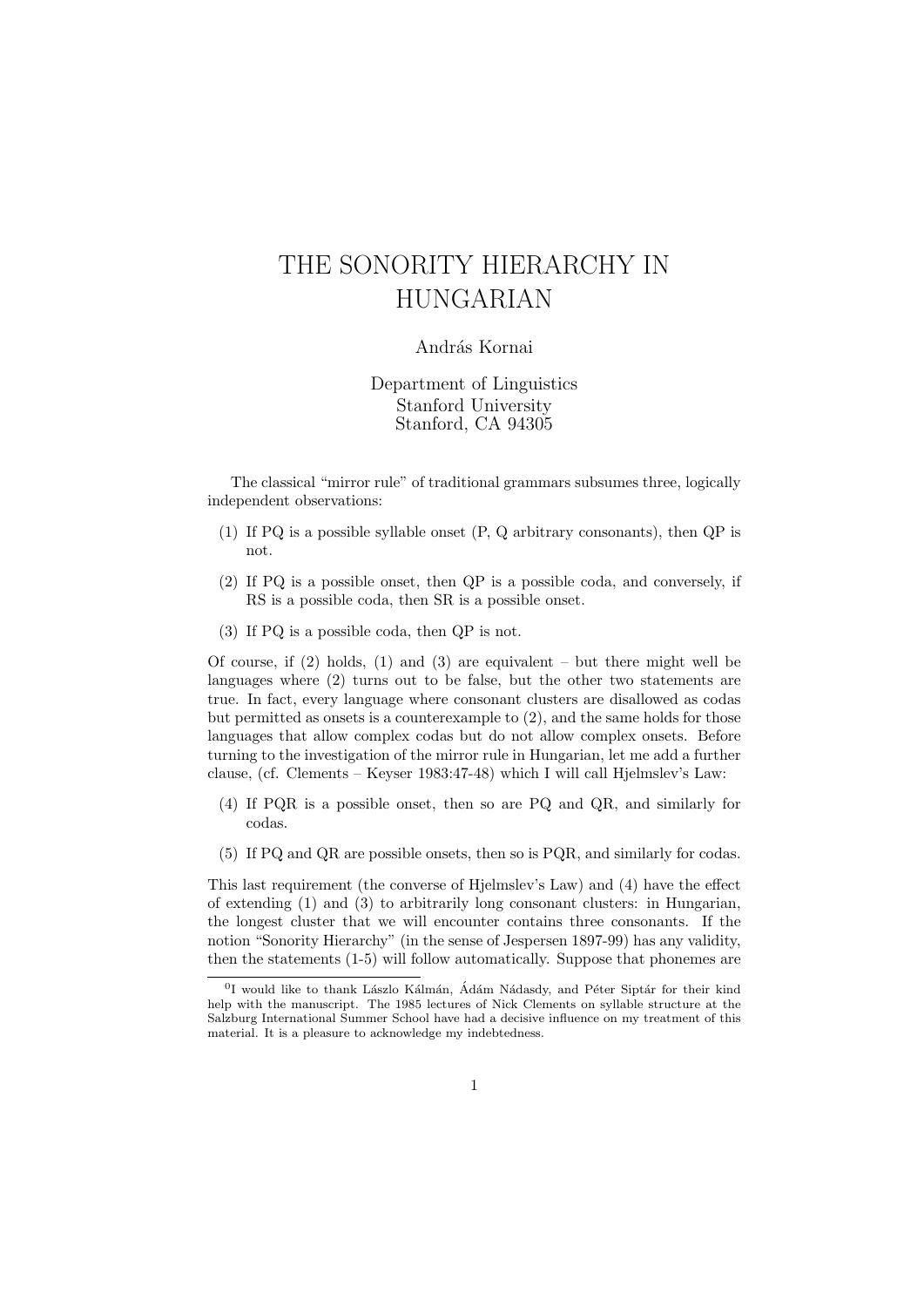## THE SONORITY HIERARCHY IN HUNGARIAN

## András Kornai

Department of Linguistics Stanford University Stanford, CA 94305

The classical "mirror rule" of traditional grammars subsumes three, logically independent observations:

- (1) If PQ is a possible syllable onset (P, Q arbitrary consonants), then QP is not.
- (2) If PQ is a possible onset, then QP is a possible coda, and conversely, if RS is a possible coda, then SR is a possible onset.
- (3) If PQ is a possible coda, then QP is not.

Of course, if  $(2)$  holds,  $(1)$  and  $(3)$  are equivalent – but there might well be languages where (2) turns out to be false, but the other two statements are true. In fact, every language where consonant clusters are disallowed as codas but permitted as onsets is a counterexample to (2), and the same holds for those languages that allow complex codas but do not allow complex onsets. Before turning to the investigation of the mirror rule in Hungarian, let me add a further clause, (cf. Clements – Keyser 1983:47-48) which I will call Hjelmslev's Law:

- (4) If PQR is a possible onset, then so are PQ and QR, and similarly for codas.
- (5) If PQ and QR are possible onsets, then so is PQR, and similarly for codas.

This last requirement (the converse of Hjelmslev's Law) and (4) have the effect of extending (1) and (3) to arbitrarily long consonant clusters: in Hungarian, the longest cluster that we will encounter contains three consonants. If the notion "Sonority Hierarchy" (in the sense of Jespersen 1897-99) has any validity, then the statements (1-5) will follow automatically. Suppose that phonemes are

<sup>&</sup>lt;sup>0</sup>I would like to thank Lászlo Kálmán, Ádám Nádasdy, and Péter Siptár for their kind help with the manuscript. The 1985 lectures of Nick Clements on syllable structure at the Salzburg International Summer School have had a decisive influence on my treatment of this material. It is a pleasure to acknowledge my indebtedness.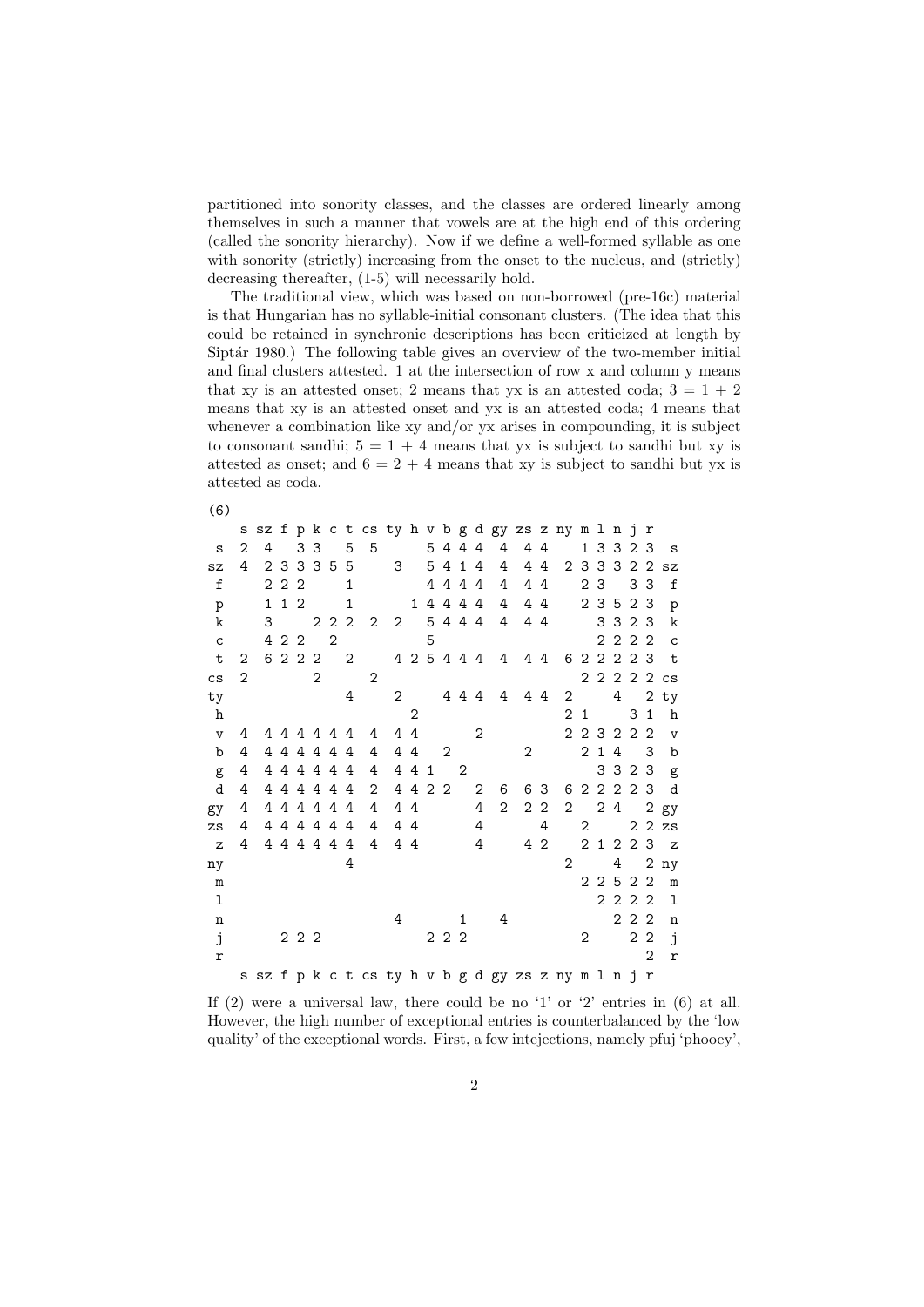partitioned into sonority classes, and the classes are ordered linearly among themselves in such a manner that vowels are at the high end of this ordering (called the sonority hierarchy). Now if we define a well-formed syllable as one with sonority (strictly) increasing from the onset to the nucleus, and (strictly) decreasing thereafter, (1-5) will necessarily hold.

The traditional view, which was based on non-borrowed (pre-16c) material is that Hungarian has no syllable-initial consonant clusters. (The idea that this could be retained in synchronic descriptions has been criticized at length by Siptár 1980.) The following table gives an overview of the two-member initial and final clusters attested. 1 at the intersection of row x and column y means that xy is an attested onset; 2 means that yx is an attested coda;  $3 = 1 + 2$ means that xy is an attested onset and yx is an attested coda; 4 means that whenever a combination like xy and/or yx arises in compounding, it is subject to consonant sandhi;  $5 = 1 + 4$  means that yx is subject to sandhi but xy is attested as onset; and  $6 = 2 + 4$  means that xy is subject to sandhi but yx is attested as coda.

(6)

|               | s            |              |           |       |                |              |                | sz f p k c t cs ty h v b g d gy zs z ny             |                |         |                            |                            |         |              |                |   |                |                |                |                | mlnj  |                 | $\mathbf r$    |                        |
|---------------|--------------|--------------|-----------|-------|----------------|--------------|----------------|-----------------------------------------------------|----------------|---------|----------------------------|----------------------------|---------|--------------|----------------|---|----------------|----------------|----------------|----------------|-------|-----------------|----------------|------------------------|
| <b>S</b>      | 2            | 4            |           |       | 3 3            |              | 5              | 5                                                   |                |         |                            |                            | 5 4 4 4 |              | 4              |   | 44             |                |                |                |       | 1 3 3 2 3       |                | ន                      |
| sz            | 4            |              | 2 3       |       | 3 3 5          |              | -5             | $\overline{\mathbf{3}}$                             |                |         |                            |                            | 5 4 1 4 |              | 4              | 4 | 4              |                | 2 3 3 3        |                |       |                 | 2 2            | $\mathtt{s}\mathtt{z}$ |
| $f_{\rm}$     |              |              | $2\,2\,2$ |       |                |              | $\mathbf{1}$   |                                                     |                |         |                            |                            | 4444    |              | 4              |   | 44             |                |                | 2 <sub>3</sub> |       |                 | 3 <sub>3</sub> | f                      |
| p             |              | $\mathbf{1}$ | $1\,2$    |       |                |              | 1              |                                                     |                |         | 1 4 4 4 4                  |                            |         |              | 4              |   | 44             |                |                | 2 3 5          |       | 2               | -3             | $\mathbf{p}$           |
| k             |              | 3            |           |       |                | 2 2 2        |                | 2                                                   | $\overline{2}$ |         |                            |                            | 5 4 4 4 |              | 4              |   | 4 4            |                |                |                |       | 3 3 2 3         |                | k                      |
| $\mathsf{C}$  |              | 4            | 2 2       |       |                | $\mathbf{2}$ |                |                                                     |                |         | 5                          |                            |         |              |                |   |                |                |                |                | 222   |                 | 2              | $\mathbf{C}$           |
| t             | 2            | 6            |           | 2 2 2 |                |              | $\overline{2}$ |                                                     |                |         |                            |                            |         |              | 4 2 5 4 4 4 4  |   | 44             |                | 6 2 2 2 2 3    |                |       |                 |                | t                      |
| $\mathsf{cs}$ | $\mathbf{2}$ |              |           |       | $\overline{2}$ |              |                | $\mathbf{2}$                                        |                |         |                            |                            |         |              |                |   |                |                |                |                |       |                 |                | 2 2 2 2 2 cs           |
| ty            |              |              |           |       |                |              | 4              |                                                     | $\overline{2}$ |         | 444                        |                            |         |              | 4              |   | 44             | 2              |                |                |       | $4\overline{ }$ |                | 2ty                    |
| h             |              |              |           |       |                |              |                |                                                     |                | 2       |                            |                            |         |              |                |   |                | $\overline{2}$ | $\mathbf{1}$   |                |       | 3               | $\mathbf{1}$   | h                      |
| $\mathbf{v}$  | 4            |              |           |       | 444444         |              |                | 4                                                   |                | 44      |                            |                            |         | $\mathbf{2}$ |                |   |                |                | 2 2 3 2 2      |                |       |                 | $\overline{2}$ | $\mathbf v$            |
| b             | 4            |              |           |       | 444444         |              |                | 4                                                   |                | 44      | $\overline{\phantom{0}}^2$ |                            |         |              |                | 2 |                |                |                | 2 <sub>1</sub> | 4     |                 |                | 3 <sub>b</sub>         |
| g             | 4            |              |           |       | 444444         |              |                | 4                                                   |                | 4 4 1   |                            | $\overline{\phantom{0}}^2$ |         |              |                |   |                |                |                |                | 3 3 2 |                 |                | 3 g                    |
| d             | 4            |              |           |       | 444444         |              |                | 2                                                   |                | 4 4 2 2 |                            |                            |         | 2            | 6              |   | 6 3            |                |                |                |       |                 |                | 6 2 2 2 2 3 d          |
| gy            | 4            |              |           |       | 444444         |              |                | 4                                                   |                | 44      |                            |                            |         | 4            | $\overline{2}$ |   | 2 <sub>2</sub> |                | $2^{\circ}$    |                | 2 4   |                 |                | 2 gy                   |
| zs            | 4            |              |           |       | 444444         |              |                | 4                                                   |                | 44      |                            |                            |         | 4            |                |   | 4              |                | $\overline{2}$ |                |       |                 |                | $22$ zs                |
| $\mathbf{z}$  | 4            |              |           |       | 4 4 4 4 4 4    |              |                | 4                                                   |                | 4 4     |                            |                            |         | 4            |                |   | 4 2            |                |                |                |       |                 |                | 2 1 2 2 3 z            |
| ny            |              |              |           |       |                |              | 4              |                                                     |                |         |                            |                            |         |              |                |   |                | 2              |                |                | $4 -$ |                 |                | 2 ny                   |
| m             |              |              |           |       |                |              |                |                                                     |                |         |                            |                            |         |              |                |   |                |                |                |                |       | 2 2 5 2 2       |                | ${\tt m}$              |
| ı             |              |              |           |       |                |              |                |                                                     |                |         |                            |                            |         |              |                |   |                |                |                |                |       | 2 2 2 2         |                | 1                      |
| n             |              |              |           |       |                |              |                |                                                     | 4              |         |                            |                            | 1       |              | 4              |   |                |                |                |                |       | 222             |                | n                      |
| j             |              |              |           | 2 2 2 |                |              |                |                                                     |                |         |                            | 222                        |         |              |                |   |                |                | 2              |                |       |                 | 2 <sub>2</sub> | j                      |
| r             |              |              |           |       |                |              |                |                                                     |                |         |                            |                            |         |              |                |   |                |                |                |                |       |                 | $\overline{2}$ | r                      |
|               |              |              |           |       |                |              |                | s sz f p k c t cs ty h v b g d gy zs z ny m l n j r |                |         |                            |                            |         |              |                |   |                |                |                |                |       |                 |                |                        |

If  $(2)$  were a universal law, there could be no '1' or '2' entries in  $(6)$  at all. However, the high number of exceptional entries is counterbalanced by the 'low quality' of the exceptional words. First, a few intejections, namely pfuj 'phooey',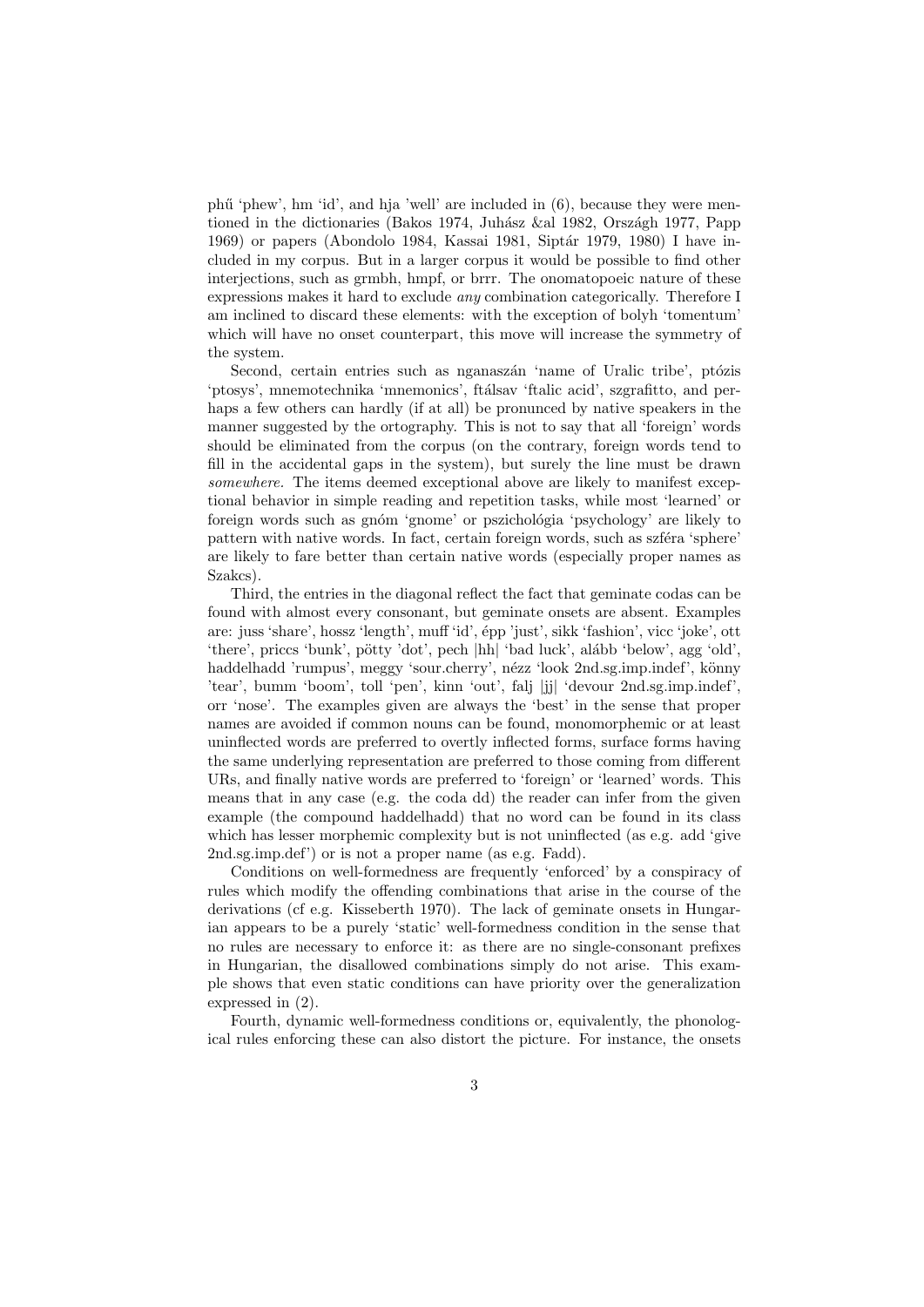ph $\ddot{\text{u}}$  'phew', hm 'id', and hia 'well' are included in  $(6)$ , because they were mentioned in the dictionaries (Bakos 1974, Juhász &al 1982, Országh 1977, Papp 1969) or papers (Abondolo 1984, Kassai 1981, Siptár 1979, 1980) I have included in my corpus. But in a larger corpus it would be possible to find other interjections, such as grmbh, hmpf, or brrr. The onomatopoeic nature of these expressions makes it hard to exclude any combination categorically. Therefore I am inclined to discard these elements: with the exception of bolyh 'tomentum' which will have no onset counterpart, this move will increase the symmetry of the system.

Second, certain entries such as nganaszán 'name of Uralic tribe', ptózis 'ptosys', mnemotechnika 'mnemonics', ftálsav 'ftalic acid', szgrafitto, and perhaps a few others can hardly (if at all) be pronunced by native speakers in the manner suggested by the ortography. This is not to say that all 'foreign' words should be eliminated from the corpus (on the contrary, foreign words tend to fill in the accidental gaps in the system), but surely the line must be drawn somewhere. The items deemed exceptional above are likely to manifest exceptional behavior in simple reading and repetition tasks, while most 'learned' or foreign words such as gnóm 'gnome' or pszichológia 'psychology' are likely to pattern with native words. In fact, certain foreign words, such as szféra 'sphere' are likely to fare better than certain native words (especially proper names as Szakcs).

Third, the entries in the diagonal reflect the fact that geminate codas can be found with almost every consonant, but geminate onsets are absent. Examples are: juss 'share', hossz 'length', muff 'id', épp 'just', sikk 'fashion', vicc 'joke', ott 'there', priccs 'bunk', pötty 'dot', pech |hh| 'bad luck', alább 'below', agg 'old'. haddelhadd 'rumpus', meggy 'sour.cherry', nézz 'look 2nd.sg.imp.indef', könny 'tear', bumm 'boom', toll 'pen', kinn 'out', falj |jj| 'devour 2nd.sg.imp.indef' orr 'nose'. The examples given are always the 'best' in the sense that proper names are avoided if common nouns can be found, monomorphemic or at least uninflected words are preferred to overtly inflected forms, surface forms having the same underlying representation are preferred to those coming from different URs, and finally native words are preferred to 'foreign' or 'learned' words. This means that in any case (e.g. the coda dd) the reader can infer from the given example (the compound haddelhadd) that no word can be found in its class which has lesser morphemic complexity but is not uninflected (as e.g. add 'give 2nd.sg.imp.def') or is not a proper name (as e.g. Fadd).

Conditions on well-formedness are frequently 'enforced' by a conspiracy of rules which modify the offending combinations that arise in the course of the derivations (cf e.g. Kisseberth 1970). The lack of geminate onsets in Hungarian appears to be a purely 'static' well-formedness condition in the sense that no rules are necessary to enforce it: as there are no single-consonant prefixes in Hungarian, the disallowed combinations simply do not arise. This example shows that even static conditions can have priority over the generalization expressed in (2).

Fourth, dynamic well-formedness conditions or, equivalently, the phonological rules enforcing these can also distort the picture. For instance, the onsets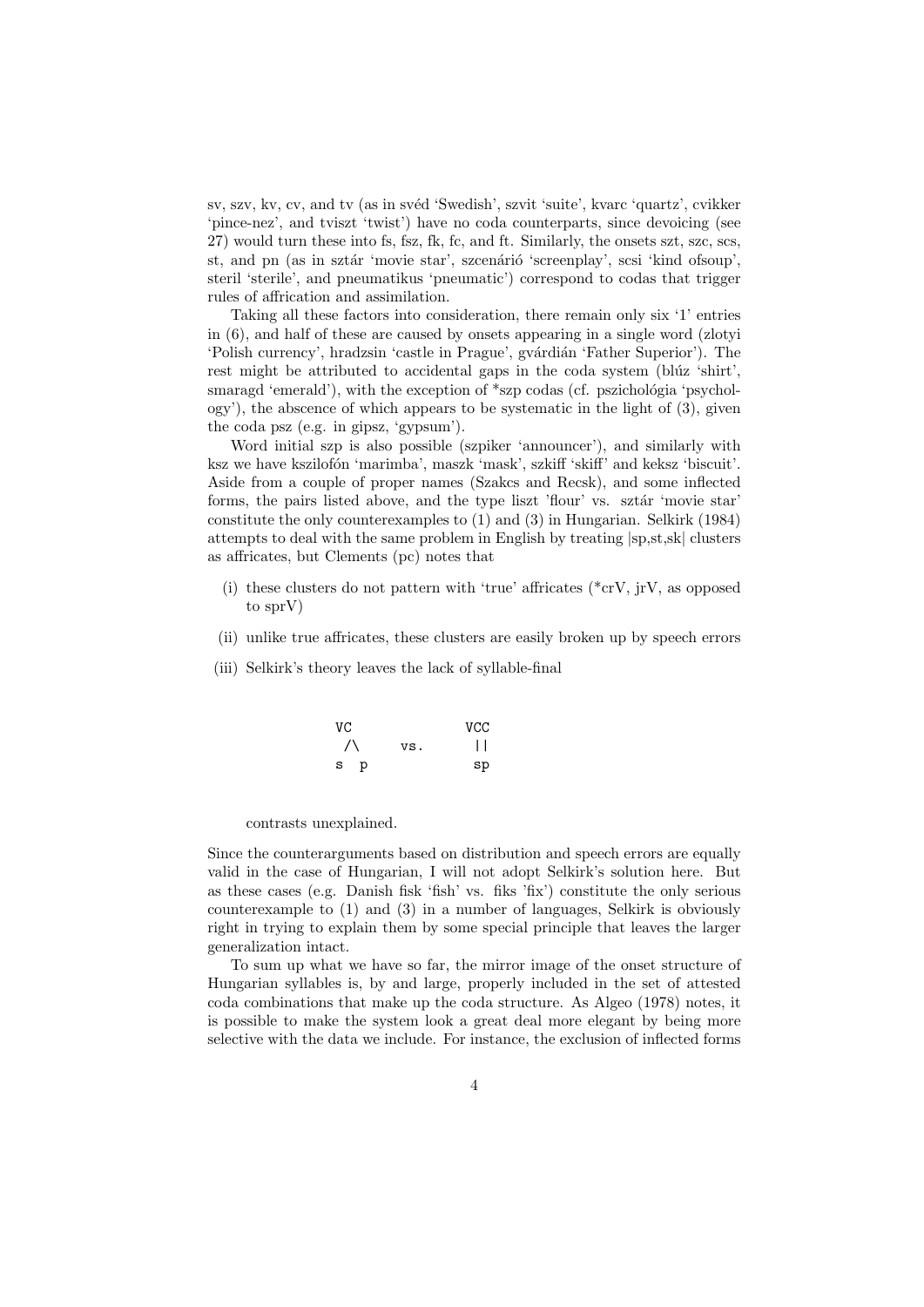sv, szv, kv, cv, and tv (as in svéd 'Swedish', szvit 'suite', kvarc 'quartz', cvikker 'pince-nez', and tviszt 'twist') have no coda counterparts, since devoicing (see 27) would turn these into fs, fsz, fk, fc, and ft. Similarly, the onsets szt, szc, scs, st, and pn (as in sztár 'movie star', szcenárió 'screenplay', scsi 'kind ofsoup', steril 'sterile', and pneumatikus 'pneumatic') correspond to codas that trigger rules of affrication and assimilation.

Taking all these factors into consideration, there remain only six '1' entries in (6), and half of these are caused by onsets appearing in a single word (zlotyi 'Polish currency', hradzsin 'castle in Prague', gvárdián 'Father Superior'). The rest might be attributed to accidental gaps in the coda system (blúz 'shirt', smaragd 'emerald'), with the exception of  $*$ szp codas (cf. pszichológia 'psychol- $\text{ogy'}$ , the abscence of which appears to be systematic in the light of  $(3)$ , given the coda psz (e.g. in gipsz, 'gypsum').

Word initial szp is also possible (szpiker 'announcer'), and similarly with ksz we have kszilofón 'marimba', maszk 'mask', szkiff 'skiff' and keksz 'biscuit'. Aside from a couple of proper names (Szakcs and Recsk), and some inflected forms, the pairs listed above, and the type liszt 'flour' vs. sztár 'movie star constitute the only counterexamples to (1) and (3) in Hungarian. Selkirk (1984) attempts to deal with the same problem in English by treating |sp,st,sk| clusters as affricates, but Clements (pc) notes that

- (i) these clusters do not pattern with 'true' affricates ( $*{\rm cr}V$ , irV, as opposed to sprV)
- (ii) unlike true affricates, these clusters are easily broken up by speech errors
- (iii) Selkirk's theory leaves the lack of syllable-final

| VC        |     | <b>VCC</b>  |
|-----------|-----|-------------|
| $\sqrt{}$ | VS. | $\perp$     |
| s<br>p    |     | $_{\rm sp}$ |

contrasts unexplained.

Since the counterarguments based on distribution and speech errors are equally valid in the case of Hungarian, I will not adopt Selkirk's solution here. But as these cases (e.g. Danish fisk 'fish' vs. fiks 'fix') constitute the only serious counterexample to (1) and (3) in a number of languages, Selkirk is obviously right in trying to explain them by some special principle that leaves the larger generalization intact.

To sum up what we have so far, the mirror image of the onset structure of Hungarian syllables is, by and large, properly included in the set of attested coda combinations that make up the coda structure. As Algeo (1978) notes, it is possible to make the system look a great deal more elegant by being more selective with the data we include. For instance, the exclusion of inflected forms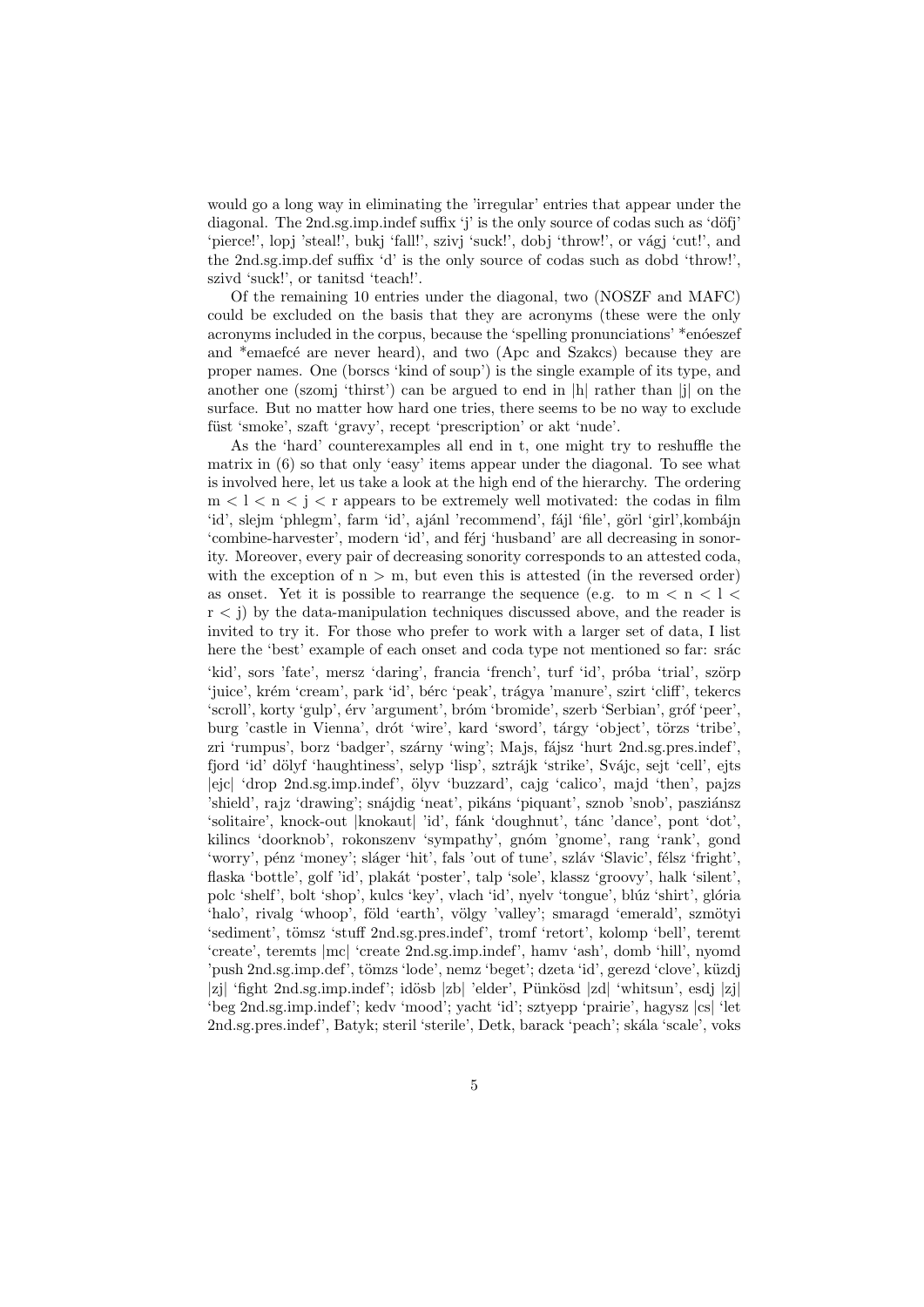would go a long way in eliminating the 'irregular' entries that appear under the diagonal. The  $2nd\text{sg.}$  imp.indef suffix 'j' is the only source of codas such as 'döfj' 'pierce!', lopj 'steal!', bukj 'fall!', szivj 'suck!', dobj 'throw!', or vágj 'cut!', and the 2nd.sg.imp.def suffix 'd' is the only source of codas such as dobd 'throw!', szivd 'suck!', or tanitsd 'teach!'.

Of the remaining 10 entries under the diagonal, two (NOSZF and MAFC) could be excluded on the basis that they are acronyms (these were the only acronyms included in the corpus, because the 'spelling pronunciations' \*enoeszef and <sup>\*</sup>emaefce are never heard), and two (Apc and Szakcs) because they are proper names. One (borscs 'kind of soup') is the single example of its type, and another one (szomj 'thirst') can be argued to end in |h| rather than |j| on the surface. But no matter how hard one tries, there seems to be no way to exclude füst 'smoke', szaft 'gravy', recept 'prescription' or akt 'nude'.

As the 'hard' counterexamples all end in t, one might try to reshuffle the matrix in (6) so that only 'easy' items appear under the diagonal. To see what is involved here, let us take a look at the high end of the hierarchy. The ordering  $m < l < n < j < r$  appears to be extremely well motivated: the codas in film 'id', slejm 'phlegm', farm 'id', ajánl 'recommend', fájl 'file', görl 'girl',kombájn 'combine-harvester', modern 'id', and férj 'husband' are all decreasing in sonority. Moreover, every pair of decreasing sonority corresponds to an attested coda, with the exception of  $n > m$ , but even this is attested (in the reversed order) as onset. Yet it is possible to rearrange the sequence (e.g. to  $m < n < l <$ r < j) by the data-manipulation techniques discussed above, and the reader is invited to try it. For those who prefer to work with a larger set of data, I list here the 'best' example of each onset and coda type not mentioned so far: srác

'kid', sors 'fate', mersz 'daring', francia 'french', turf 'id', próba 'trial', szörp 'juice', krém 'cream', park 'id', bérc 'peak', trágya 'manure', szirt 'cliff', tekercs 'scroll', korty 'gulp', érv 'argument', bróm 'bromide', szerb 'Serbian', gróf 'peer', burg 'castle in Vienna', drót 'wire', kard 'sword', tárgy 'object', törzs 'tribe', zri 'rumpus', borz 'badger', szárny 'wing'; Majs, fájsz 'hurt 2nd.sg.pres.indef', fjord 'id' dölyf 'haughtiness', selyp 'lisp', sztrájk 'strike', Svájc, sejt 'cell', ejts |ejc| 'drop 2nd.sg.imp.indef', ¨olyv 'buzzard', cajg 'calico', majd 'then', pajzs 'shield', rajz 'drawing'; snájdig 'neat', pikáns 'piquant', sznob 'snob', pasziánsz 'solitaire', knock-out |knokaut| 'id', fánk 'doughnut', tánc 'dance', pont 'dot', kilincs 'doorknob', rokonszenv 'sympathy', gnóm 'gnome', rang 'rank', gond 'worry', pénz 'money'; sláger 'hit', fals 'out of tune', szláv 'Slavic', félsz 'fright', flaska 'bottle', golf 'id', plakát 'poster', talp 'sole', klassz 'groovy', halk 'silent', polc 'shelf', bolt 'shop', kulcs 'key', vlach 'id', nyelv 'tongue', blúz 'shirt', glória 'halo', rivalg 'whoop', föld 'earth', völgy 'valley'; smaragd 'emerald', szmötyi 'sediment', tömsz 'stuff 2nd.sg.pres.indef', tromf 'retort', kolomp 'bell', teremt 'create', teremts |mc| 'create 2nd.sg.imp.indef', hamv 'ash', domb 'hill', nyomd 'push 2nd.sg.imp.def', tömzs 'lode', nemz 'beget'; dzeta 'id', gerezd 'clove', küzdj |zj| 'fight 2nd.sg.imp.indef'; idösb |zb| 'elder', Pünkösd |zd| 'whitsun', esdj |zj| 'beg 2nd.sg.imp.indef'; kedv 'mood'; yacht 'id'; sztyepp 'prairie', hagysz |cs| 'let 2nd.sg.pres.indef', Batyk; steril 'sterile', Detk, barack 'peach'; skála 'scale', voks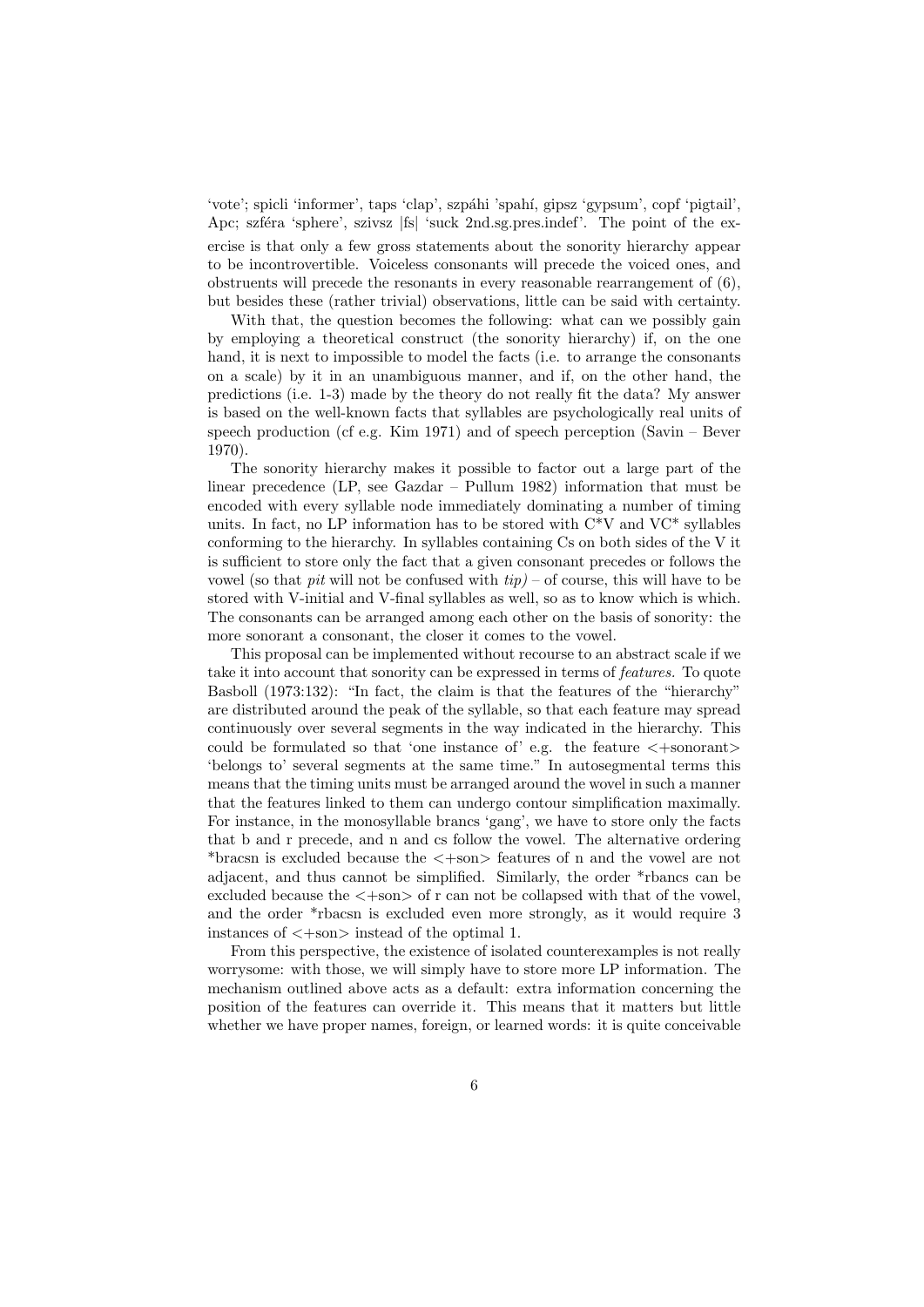'vote'; spicli 'informer', taps 'clap', szpáhi 'spahí, gipsz 'gypsum', copf 'pigtail'. Apc; szféra 'sphere', szivsz |fs| 'suck 2nd.sg.pres.indef'. The point of the exercise is that only a few gross statements about the sonority hierarchy appear to be incontrovertible. Voiceless consonants will precede the voiced ones, and obstruents will precede the resonants in every reasonable rearrangement of (6), but besides these (rather trivial) observations, little can be said with certainty.

With that, the question becomes the following: what can we possibly gain by employing a theoretical construct (the sonority hierarchy) if, on the one hand, it is next to impossible to model the facts (i.e. to arrange the consonants on a scale) by it in an unambiguous manner, and if, on the other hand, the predictions (i.e. 1-3) made by the theory do not really fit the data? My answer is based on the well-known facts that syllables are psychologically real units of speech production (cf e.g. Kim 1971) and of speech perception (Savin – Bever 1970).

The sonority hierarchy makes it possible to factor out a large part of the linear precedence (LP, see Gazdar – Pullum 1982) information that must be encoded with every syllable node immediately dominating a number of timing units. In fact, no LP information has to be stored with  $C*V$  and  $VC*$  syllables conforming to the hierarchy. In syllables containing Cs on both sides of the V it is sufficient to store only the fact that a given consonant precedes or follows the vowel (so that *pit* will not be confused with  $tip$ ) – of course, this will have to be stored with V-initial and V-final syllables as well, so as to know which is which. The consonants can be arranged among each other on the basis of sonority: the more sonorant a consonant, the closer it comes to the vowel.

This proposal can be implemented without recourse to an abstract scale if we take it into account that sonority can be expressed in terms of features. To quote Basboll (1973:132): "In fact, the claim is that the features of the "hierarchy" are distributed around the peak of the syllable, so that each feature may spread continuously over several segments in the way indicated in the hierarchy. This could be formulated so that 'one instance of' e.g. the feature  $\langle +$ sonorant $\rangle$ 'belongs to' several segments at the same time." In autosegmental terms this means that the timing units must be arranged around the wovel in such a manner that the features linked to them can undergo contour simplification maximally. For instance, in the monosyllable brancs 'gang', we have to store only the facts that b and r precede, and n and cs follow the vowel. The alternative ordering \*bracsn is excluded because the <+son> features of n and the vowel are not adjacent, and thus cannot be simplified. Similarly, the order \*rbancs can be excluded because the  $\langle +\text{son}\rangle$  of r can not be collapsed with that of the vowel. and the order \*rbacsn is excluded even more strongly, as it would require 3 instances of  $\langle +\text{son}\rangle$  instead of the optimal 1.

From this perspective, the existence of isolated counterexamples is not really worrysome: with those, we will simply have to store more LP information. The mechanism outlined above acts as a default: extra information concerning the position of the features can override it. This means that it matters but little whether we have proper names, foreign, or learned words: it is quite conceivable